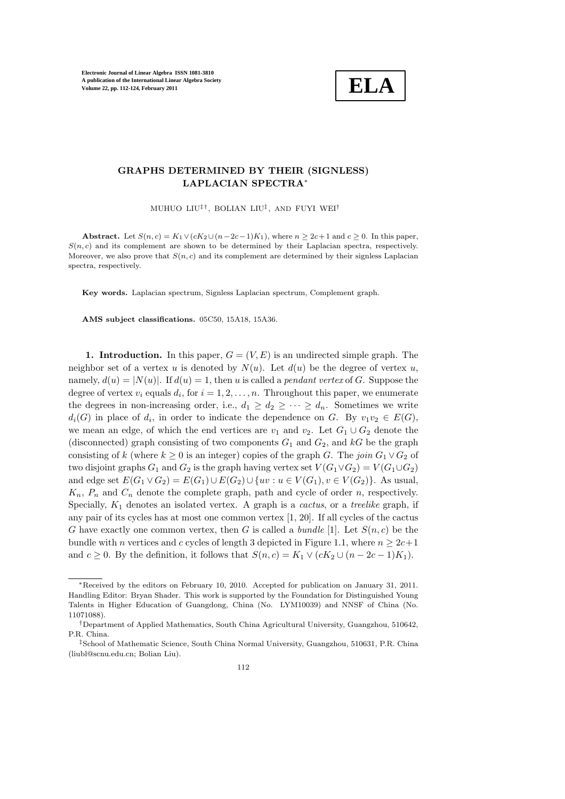

### GRAPHS DETERMINED BY THEIR (SIGNLESS) LAPLACIAN SPECTRA<sup>∗</sup>

MUHUO LIU‡ †, BOLIAN LIU‡ , AND FUYI WEI†

Abstract. Let  $S(n, c) = K_1 \vee (cK_2 \cup (n-2c-1)K_1)$ , where  $n \geq 2c+1$  and  $c \geq 0$ . In this paper,  $S(n, c)$  and its complement are shown to be determined by their Laplacian spectra, respectively. Moreover, we also prove that  $S(n, c)$  and its complement are determined by their signless Laplacian spectra, respectively.

Key words. Laplacian spectrum, Signless Laplacian spectrum, Complement graph.

AMS subject classifications. 05C50, 15A18, 15A36.

1. Introduction. In this paper,  $G = (V, E)$  is an undirected simple graph. The neighbor set of a vertex u is denoted by  $N(u)$ . Let  $d(u)$  be the degree of vertex u, namely,  $d(u) = |N(u)|$ . If  $d(u) = 1$ , then u is called a *pendant vertex* of G. Suppose the degree of vertex  $v_i$  equals  $d_i$ , for  $i = 1, 2, ..., n$ . Throughout this paper, we enumerate the degrees in non-increasing order, i.e.,  $d_1 \geq d_2 \geq \cdots \geq d_n$ . Sometimes we write  $d_i(G)$  in place of  $d_i$ , in order to indicate the dependence on G. By  $v_1v_2 \in E(G)$ , we mean an edge, of which the end vertices are  $v_1$  and  $v_2$ . Let  $G_1 \cup G_2$  denote the (disconnected) graph consisting of two components  $G_1$  and  $G_2$ , and  $kG$  be the graph consisting of k (where  $k \geq 0$  is an integer) copies of the graph G. The join  $G_1 \vee G_2$  of two disjoint graphs  $G_1$  and  $G_2$  is the graph having vertex set  $V(G_1 \vee G_2) = V(G_1 \cup G_2)$ and edge set  $E(G_1 \vee G_2) = E(G_1) \cup E(G_2) \cup \{uv : u \in V(G_1), v \in V(G_2)\}\)$ . As usual,  $K_n$ ,  $P_n$  and  $C_n$  denote the complete graph, path and cycle of order n, respectively. Specially,  $K_1$  denotes an isolated vertex. A graph is a *cactus*, or a *treelike* graph, if any pair of its cycles has at most one common vertex [1, 20]. If all cycles of the cactus G have exactly one common vertex, then G is called a bundle [1]. Let  $S(n, c)$  be the bundle with n vertices and c cycles of length 3 depicted in Figure 1.1, where  $n \geq 2c+1$ and  $c \geq 0$ . By the definition, it follows that  $S(n, c) = K_1 \vee (cK_2 \cup (n - 2c - 1)K_1)$ .

<sup>∗</sup>Received by the editors on February 10, 2010. Accepted for publication on January 31, 2011. Handling Editor: Bryan Shader. This work is supported by the Foundation for Distinguished Young Talents in Higher Education of Guangdong, China (No. LYM10039) and NNSF of China (No. 11071088).

<sup>†</sup>Department of Applied Mathematics, South China Agricultural University, Guangzhou, 510642, P.R. China.

<sup>‡</sup>School of Mathematic Science, South China Normal University, Guangzhou, 510631, P.R. China (liubl@scnu.edu.cn; Bolian Liu).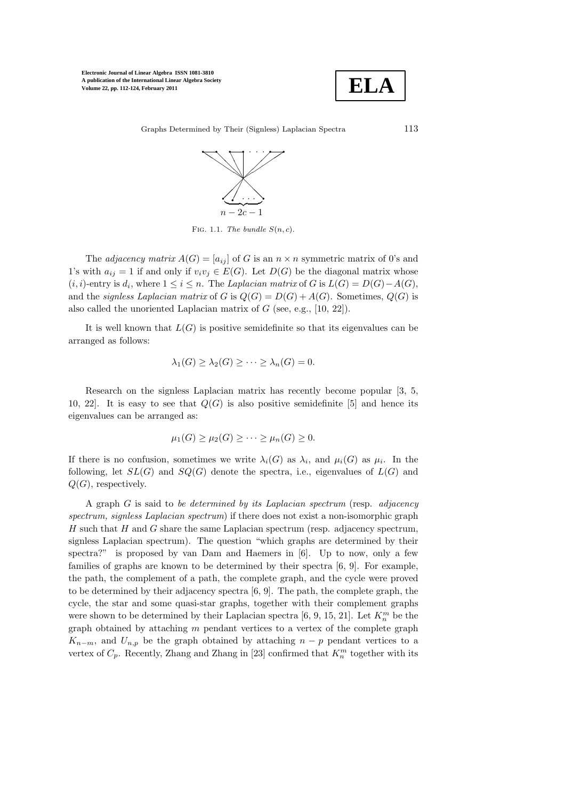

Graphs Determined by Their (Signless) Laplacian Spectra 113



FIG. 1.1. The bundle  $S(n, c)$ .

The *adjacency matrix*  $A(G) = [a_{ij}]$  of G is an  $n \times n$  symmetric matrix of 0's and 1's with  $a_{ij} = 1$  if and only if  $v_i v_j \in E(G)$ . Let  $D(G)$  be the diagonal matrix whose  $(i, i)$ -entry is  $d_i$ , where  $1 \leq i \leq n$ . The Laplacian matrix of G is  $L(G) = D(G) - A(G)$ , and the signless Laplacian matrix of G is  $Q(G) = D(G) + A(G)$ . Sometimes,  $Q(G)$  is also called the unoriented Laplacian matrix of  $G$  (see, e.g., [10, 22]).

It is well known that  $L(G)$  is positive semidefinite so that its eigenvalues can be arranged as follows:

$$
\lambda_1(G) \geq \lambda_2(G) \geq \cdots \geq \lambda_n(G) = 0.
$$

Research on the signless Laplacian matrix has recently become popular [3, 5, 10, 22. It is easy to see that  $Q(G)$  is also positive semidefinite [5] and hence its eigenvalues can be arranged as:

$$
\mu_1(G) \ge \mu_2(G) \ge \cdots \ge \mu_n(G) \ge 0.
$$

If there is no confusion, sometimes we write  $\lambda_i(G)$  as  $\lambda_i$ , and  $\mu_i(G)$  as  $\mu_i$ . In the following, let  $SL(G)$  and  $SO(G)$  denote the spectra, i.e., eigenvalues of  $L(G)$  and  $Q(G)$ , respectively.

A graph  $G$  is said to be determined by its Laplacian spectrum (resp. adjacency spectrum, signless Laplacian spectrum) if there does not exist a non-isomorphic graph  $H$  such that  $H$  and  $G$  share the same Laplacian spectrum (resp. adjacency spectrum, signless Laplacian spectrum). The question "which graphs are determined by their spectra?" is proposed by van Dam and Haemers in [6]. Up to now, only a few families of graphs are known to be determined by their spectra [6, 9]. For example, the path, the complement of a path, the complete graph, and the cycle were proved to be determined by their adjacency spectra [6, 9]. The path, the complete graph, the cycle, the star and some quasi-star graphs, together with their complement graphs were shown to be determined by their Laplacian spectra [6, 9, 15, 21]. Let  $K_n^m$  be the graph obtained by attaching  $m$  pendant vertices to a vertex of the complete graph  $K_{n-m}$ , and  $U_{n,p}$  be the graph obtained by attaching  $n-p$  pendant vertices to a vertex of  $C_p$ . Recently, Zhang and Zhang in [23] confirmed that  $K_n^m$  together with its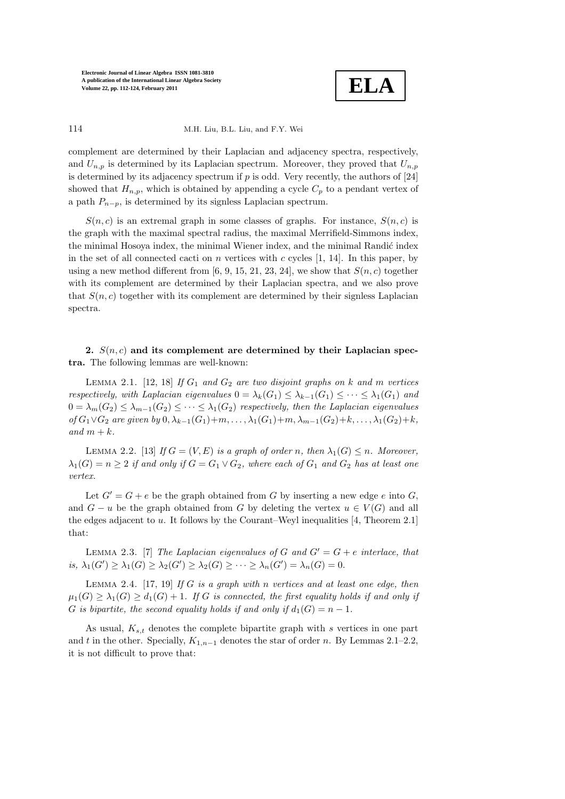

### 114 M.H. Liu, B.L. Liu, and F.Y. Wei

complement are determined by their Laplacian and adjacency spectra, respectively, and  $U_{n,p}$  is determined by its Laplacian spectrum. Moreover, they proved that  $U_{n,p}$ is determined by its adjacency spectrum if  $p$  is odd. Very recently, the authors of  $[24]$ showed that  $H_{n,p}$ , which is obtained by appending a cycle  $C_p$  to a pendant vertex of a path  $P_{n-p}$ , is determined by its signless Laplacian spectrum.

 $S(n, c)$  is an extremal graph in some classes of graphs. For instance,  $S(n, c)$  is the graph with the maximal spectral radius, the maximal Merrifield-Simmons index, the minimal Hosoya index, the minimal Wiener index, and the minimal Randić index in the set of all connected cacti on n vertices with c cycles  $[1, 14]$ . In this paper, by using a new method different from [6, 9, 15, 21, 23, 24], we show that  $S(n, c)$  together with its complement are determined by their Laplacian spectra, and we also prove that  $S(n, c)$  together with its complement are determined by their signless Laplacian spectra.

## 2.  $S(n, c)$  and its complement are determined by their Laplacian spectra. The following lemmas are well-known:

LEMMA 2.1. [12, 18] If  $G_1$  and  $G_2$  are two disjoint graphs on k and m vertices respectively, with Laplacian eigenvalues  $0 = \lambda_k(G_1) \leq \lambda_{k-1}(G_1) \leq \cdots \leq \lambda_1(G_1)$  and  $0 = \lambda_m(G_2) \leq \lambda_{m-1}(G_2) \leq \cdots \leq \lambda_1(G_2)$  respectively, then the Laplacian eigenvalues of  $G_1 \vee G_2$  are given by  $0, \lambda_{k-1}(G_1)+m, \ldots, \lambda_1(G_1)+m, \lambda_{m-1}(G_2)+k, \ldots, \lambda_1(G_2)+k$ , and  $m + k$ .

LEMMA 2.2. [13] If  $G = (V, E)$  is a graph of order n, then  $\lambda_1(G) \leq n$ . Moreover,  $\lambda_1(G) = n \geq 2$  if and only if  $G = G_1 \vee G_2$ , where each of  $G_1$  and  $G_2$  has at least one vertex.

Let  $G' = G + e$  be the graph obtained from G by inserting a new edge e into G, and  $G - u$  be the graph obtained from G by deleting the vertex  $u \in V(G)$  and all the edges adjacent to u. It follows by the Courant–Weyl inequalities [4, Theorem 2.1] that:

LEMMA 2.3. [7] The Laplacian eigenvalues of G and  $G' = G + e$  interlace, that is,  $\lambda_1(G') \geq \lambda_1(G) \geq \lambda_2(G') \geq \lambda_2(G) \geq \cdots \geq \lambda_n(G') = \lambda_n(G) = 0.$ 

LEMMA 2.4. [17, 19] If G is a graph with n vertices and at least one edge, then  $\mu_1(G) \geq \lambda_1(G) \geq d_1(G) + 1$ . If G is connected, the first equality holds if and only if G is bipartite, the second equality holds if and only if  $d_1(G) = n - 1$ .

As usual,  $K_{s,t}$  denotes the complete bipartite graph with s vertices in one part and t in the other. Specially,  $K_{1,n-1}$  denotes the star of order n. By Lemmas 2.1–2.2, it is not difficult to prove that: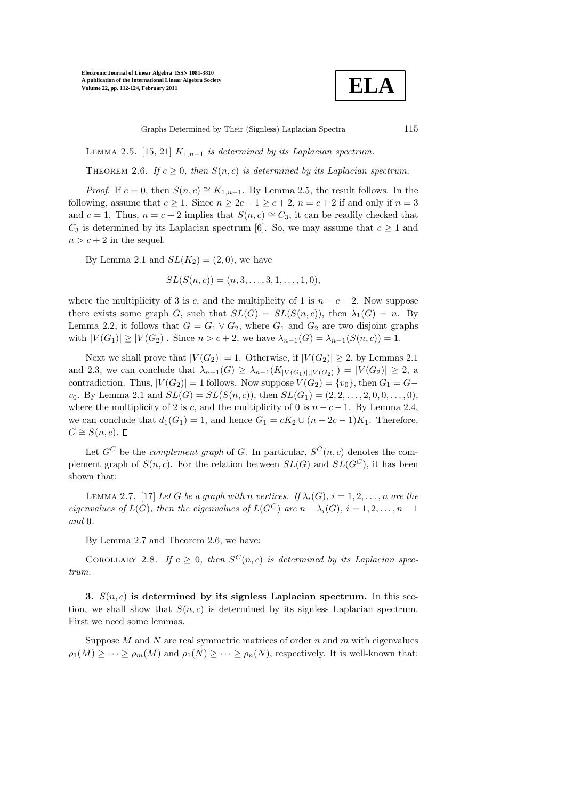**ELA**

Graphs Determined by Their (Signless) Laplacian Spectra 115

LEMMA 2.5. [15, 21]  $K_{1,n-1}$  is determined by its Laplacian spectrum.

THEOREM 2.6. If  $c \geq 0$ , then  $S(n, c)$  is determined by its Laplacian spectrum.

*Proof.* If  $c = 0$ , then  $S(n, c) \cong K_{1,n-1}$ . By Lemma 2.5, the result follows. In the following, assume that  $c > 1$ . Since  $n > 2c + 1 > c + 2$ ,  $n = c + 2$  if and only if  $n = 3$ and  $c = 1$ . Thus,  $n = c + 2$  implies that  $S(n, c) \cong C_3$ , it can be readily checked that  $C_3$  is determined by its Laplacian spectrum [6]. So, we may assume that  $c \geq 1$  and  $n > c + 2$  in the sequel.

By Lemma 2.1 and  $SL(K_2) = (2,0)$ , we have

$$
SL(S(n, c)) = (n, 3, \ldots, 3, 1, \ldots, 1, 0),
$$

where the multiplicity of 3 is c, and the multiplicity of 1 is  $n - c - 2$ . Now suppose there exists some graph G, such that  $SL(G) = SL(S(n, c))$ , then  $\lambda_1(G) = n$ . By Lemma 2.2, it follows that  $G = G_1 \vee G_2$ , where  $G_1$  and  $G_2$  are two disjoint graphs with  $|V(G_1)| \ge |V(G_2)|$ . Since  $n > c + 2$ , we have  $\lambda_{n-1}(G) = \lambda_{n-1}(S(n, c)) = 1$ .

Next we shall prove that  $|V(G_2)| = 1$ . Otherwise, if  $|V(G_2)| \geq 2$ , by Lemmas 2.1 and 2.3, we can conclude that  $\lambda_{n-1}(G) \geq \lambda_{n-1}(K_{|V(G_1)|,|V(G_2)|}) = |V(G_2)| \geq 2$ , a contradiction. Thus,  $|V(G_2)| = 1$  follows. Now suppose  $V(G_2) = \{v_0\}$ , then  $G_1 = G$  $v_0$ . By Lemma 2.1 and  $SL(G) = SL(S(n, c))$ , then  $SL(G_1) = (2, 2, \ldots, 2, 0, 0, \ldots, 0)$ , where the multiplicity of 2 is c, and the multiplicity of 0 is  $n - c - 1$ . By Lemma 2.4, we can conclude that  $d_1(G_1) = 1$ , and hence  $G_1 = cK_2 \cup (n - 2c - 1)K_1$ . Therefore,  $G \cong S(n, c)$ .  $\Box$ 

Let  $G^C$  be the *complement graph* of G. In particular,  $S^C(n, c)$  denotes the complement graph of  $S(n, c)$ . For the relation between  $SL(G)$  and  $SL(G^C)$ , it has been shown that:

LEMMA 2.7. [17] Let G be a graph with n vertices. If  $\lambda_i(G)$ ,  $i = 1, 2, \ldots, n$  are the eigenvalues of  $L(G)$ , then the eigenvalues of  $L(G^C)$  are  $n - \lambda_i(G)$ ,  $i = 1, 2, ..., n - 1$ and 0.

By Lemma 2.7 and Theorem 2.6, we have:

COROLLARY 2.8. If  $c \geq 0$ , then  $S^{C}(n, c)$  is determined by its Laplacian spectrum.

3.  $S(n, c)$  is determined by its signless Laplacian spectrum. In this section, we shall show that  $S(n, c)$  is determined by its signless Laplacian spectrum. First we need some lemmas.

Suppose  $M$  and  $N$  are real symmetric matrices of order  $n$  and  $m$  with eigenvalues  $\rho_1(M) \geq \cdots \geq \rho_m(M)$  and  $\rho_1(N) \geq \cdots \geq \rho_n(N)$ , respectively. It is well-known that: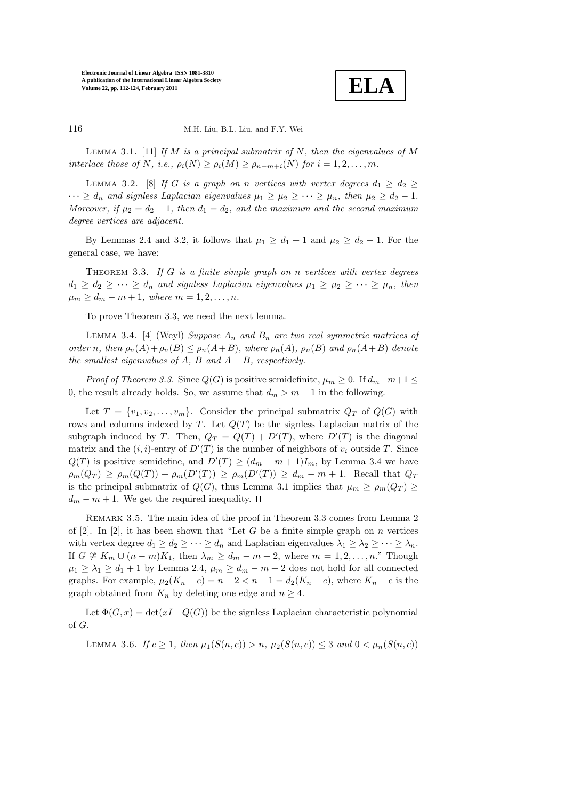**ELA**

116 M.H. Liu, B.L. Liu, and F.Y. Wei

LEMMA 3.1. [11] If M is a principal submatrix of N, then the eigenvalues of M interlace those of N, i.e.,  $\rho_i(N) \geq \rho_i(M) \geq \rho_{n-m+i}(N)$  for  $i = 1, 2, ..., m$ .

LEMMA 3.2. [8] If G is a graph on n vertices with vertex degrees  $d_1 \geq d_2 \geq$  $\cdots \geq d_n$  and signless Laplacian eigenvalues  $\mu_1 \geq \mu_2 \geq \cdots \geq \mu_n$ , then  $\mu_2 \geq d_2 - 1$ . Moreover, if  $\mu_2 = d_2 - 1$ , then  $d_1 = d_2$ , and the maximum and the second maximum degree vertices are adjacent.

By Lemmas 2.4 and 3.2, it follows that  $\mu_1 \geq d_1 + 1$  and  $\mu_2 \geq d_2 - 1$ . For the general case, we have:

THEOREM 3.3. If  $G$  is a finite simple graph on n vertices with vertex degrees  $d_1 \geq d_2 \geq \cdots \geq d_n$  and signless Laplacian eigenvalues  $\mu_1 \geq \mu_2 \geq \cdots \geq \mu_n$ , then  $\mu_m \geq d_m - m + 1$ , where  $m = 1, 2, ..., n$ .

To prove Theorem 3.3, we need the next lemma.

LEMMA 3.4. [4] (Weyl) Suppose  $A_n$  and  $B_n$  are two real symmetric matrices of order n, then  $\rho_n(A)+\rho_n(B) \leq \rho_n(A+B)$ , where  $\rho_n(A)$ ,  $\rho_n(B)$  and  $\rho_n(A+B)$  denote the smallest eigenvalues of A, B and  $A + B$ , respectively.

*Proof of Theorem 3.3.* Since  $Q(G)$  is positive semidefinite,  $\mu_m \geq 0$ . If  $d_m - m + 1 \leq$ 0, the result already holds. So, we assume that  $d_m > m - 1$  in the following.

Let  $T = \{v_1, v_2, \ldots, v_m\}$ . Consider the principal submatrix  $Q_T$  of  $Q(G)$  with rows and columns indexed by T. Let  $Q(T)$  be the signless Laplacian matrix of the subgraph induced by T. Then,  $Q_T = Q(T) + D'(T)$ , where  $D'(T)$  is the diagonal matrix and the  $(i, i)$ -entry of  $D'(T)$  is the number of neighbors of  $v_i$  outside T. Since  $Q(T)$  is positive semidefine, and  $D'(T) \geq (d_m - m + 1)I_m$ , by Lemma 3.4 we have  $\rho_m(Q_T) \ge \rho_m(Q(T)) + \rho_m(D'(T)) \ge \rho_m(D'(T)) \ge d_m - m + 1.$  Recall that  $Q_T$ is the principal submatrix of  $Q(G)$ , thus Lemma 3.1 implies that  $\mu_m \ge \rho_m(Q_T) \ge$  $d_m - m + 1$ . We get the required inequality.  $\square$ 

REMARK 3.5. The main idea of the proof in Theorem 3.3 comes from Lemma 2 of  $[2]$ . In  $[2]$ , it has been shown that "Let G be a finite simple graph on n vertices with vertex degree  $d_1 \geq d_2 \geq \cdots \geq d_n$  and Laplacian eigenvalues  $\lambda_1 \geq \lambda_2 \geq \cdots \geq \lambda_n$ . If  $G \not\cong K_m \cup (n-m)K_1$ , then  $\lambda_m \geq d_m - m + 2$ , where  $m = 1, 2, \ldots, n$ ." Though  $\mu_1 \geq \lambda_1 \geq d_1 + 1$  by Lemma 2.4,  $\mu_m \geq d_m - m + 2$  does not hold for all connected graphs. For example,  $\mu_2(K_n - e) = n - 2 < n - 1 = d_2(K_n - e)$ , where  $K_n - e$  is the graph obtained from  $K_n$  by deleting one edge and  $n \geq 4$ .

Let  $\Phi(G, x) = \det(xI - Q(G))$  be the signless Laplacian characteristic polynomial of G.

LEMMA 3.6. If  $c \ge 1$ , then  $\mu_1(S(n, c)) > n$ ,  $\mu_2(S(n, c)) \le 3$  and  $0 < \mu_n(S(n, c))$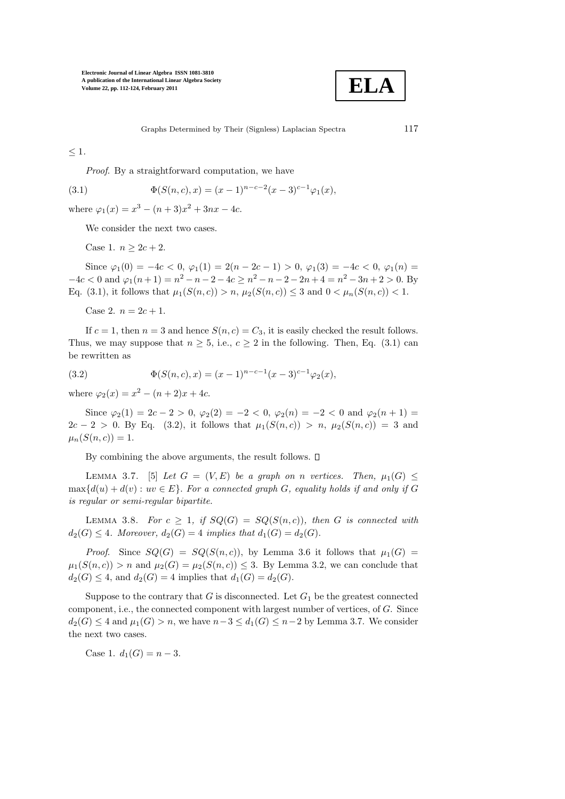

Graphs Determined by Their (Signless) Laplacian Spectra 117

 $\leq 1$ .

Proof. By a straightforward computation, we have

(3.1) 
$$
\Phi(S(n, c), x) = (x - 1)^{n - c - 2} (x - 3)^{c - 1} \varphi_1(x),
$$

where  $\varphi_1(x) = x^3 - (n+3)x^2 + 3nx - 4c$ .

We consider the next two cases.

Case 1.  $n > 2c + 2$ .

Since  $\varphi_1(0) = -4c < 0$ ,  $\varphi_1(1) = 2(n - 2c - 1) > 0$ ,  $\varphi_1(3) = -4c < 0$ ,  $\varphi_1(n) =$  $-4c < 0$  and  $\varphi_1(n+1) = n^2 - n - 2 - 4c \ge n^2 - n - 2 - 2n + 4 = n^2 - 3n + 2 > 0$ . By Eq. (3.1), it follows that  $\mu_1(S(n, c)) > n$ ,  $\mu_2(S(n, c)) \leq 3$  and  $0 < \mu_n(S(n, c)) < 1$ .

Case 2.  $n = 2c + 1$ .

If  $c = 1$ , then  $n = 3$  and hence  $S(n, c) = C_3$ , it is easily checked the result follows. Thus, we may suppose that  $n \geq 5$ , i.e.,  $c \geq 2$  in the following. Then, Eq. (3.1) can be rewritten as

(3.2) 
$$
\Phi(S(n, c), x) = (x - 1)^{n - c - 1} (x - 3)^{c - 1} \varphi_2(x),
$$

where  $\varphi_2(x) = x^2 - (n+2)x + 4c$ .

Since  $\varphi_2(1) = 2c - 2 > 0$ ,  $\varphi_2(2) = -2 < 0$ ,  $\varphi_2(n) = -2 < 0$  and  $\varphi_2(n+1) =$  $2c - 2 > 0$ . By Eq. (3.2), it follows that  $\mu_1(S(n, c)) > n$ ,  $\mu_2(S(n, c)) = 3$  and  $\mu_n(S(n, c)) = 1.$ 

By combining the above arguments, the result follows.  $\square$ 

LEMMA 3.7. [5] Let  $G = (V, E)$  be a graph on n vertices. Then,  $\mu_1(G) \leq$  $\max\{d(u) + d(v) : uv \in E\}$ . For a connected graph G, equality holds if and only if G is regular or semi-regular bipartite.

LEMMA 3.8. For  $c \geq 1$ , if  $SQ(G) = SQ(S(n, c))$ , then G is connected with  $d_2(G) \leq 4$ . Moreover,  $d_2(G) = 4$  implies that  $d_1(G) = d_2(G)$ .

*Proof.* Since  $SQ(G) = SQ(S(n, c))$ , by Lemma 3.6 it follows that  $\mu_1(G)$  $\mu_1(S(n, c)) > n$  and  $\mu_2(G) = \mu_2(S(n, c)) \leq 3$ . By Lemma 3.2, we can conclude that  $d_2(G) \leq 4$ , and  $d_2(G) = 4$  implies that  $d_1(G) = d_2(G)$ .

Suppose to the contrary that G is disconnected. Let  $G_1$  be the greatest connected component, i.e., the connected component with largest number of vertices, of G. Since  $d_2(G) \leq 4$  and  $\mu_1(G) > n$ , we have  $n-3 \leq d_1(G) \leq n-2$  by Lemma 3.7. We consider the next two cases.

Case 1.  $d_1(G) = n - 3$ .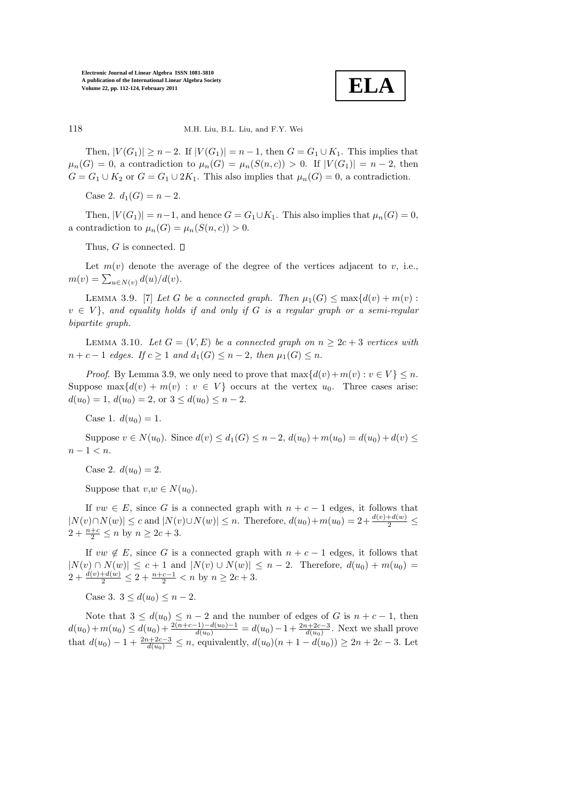

#### 118 M.H. Liu, B.L. Liu, and F.Y. Wei

Then,  $|V(G_1)| \ge n-2$ . If  $|V(G_1)| = n-1$ , then  $G = G_1 \cup K_1$ . This implies that  $\mu_n(G) = 0$ , a contradiction to  $\mu_n(G) = \mu_n(S(n, c)) > 0$ . If  $|V(G_1)| = n - 2$ , then  $G = G_1 \cup K_2$  or  $G = G_1 \cup 2K_1$ . This also implies that  $\mu_n(G) = 0$ , a contradiction.

Case 2.  $d_1(G) = n - 2$ .

Then,  $|V(G_1)| = n-1$ , and hence  $G = G_1 \cup K_1$ . This also implies that  $\mu_n(G) = 0$ , a contradiction to  $\mu_n(G) = \mu_n(S(n, c)) > 0$ .

Thus, G is connected.  $\square$ 

Let  $m(v)$  denote the average of the degree of the vertices adjacent to v, i.e.,  $m(v) = \sum_{u \in N(v)} d(u)/d(v).$ 

LEMMA 3.9. [7] Let G be a connected graph. Then  $\mu_1(G) \leq \max\{d(v) + m(v):$  $v \in V$ , and equality holds if and only if G is a regular graph or a semi-regular bipartite graph.

LEMMA 3.10. Let  $G = (V, E)$  be a connected graph on  $n \geq 2c + 3$  vertices with  $n + c - 1$  edges. If  $c \geq 1$  and  $d_1(G) \leq n - 2$ , then  $\mu_1(G) \leq n$ .

*Proof.* By Lemma 3.9, we only need to prove that  $\max\{d(v)+m(v): v \in V\} \leq n$ . Suppose  $\max\{d(v) + m(v) : v \in V\}$  occurs at the vertex  $u_0$ . Three cases arise:  $d(u_0) = 1, d(u_0) = 2, \text{ or } 3 \leq d(u_0) \leq n-2.$ 

Case 1.  $d(u_0) = 1$ .

Suppose  $v \in N(u_0)$ . Since  $d(v) \leq d_1(G) \leq n-2$ ,  $d(u_0) + m(u_0) = d(u_0) + d(v) \leq$  $n-1 < n$ .

Case 2.  $d(u_0) = 2$ .

Suppose that  $v, w \in N(u_0)$ .

If  $vw \in E$ , since G is a connected graph with  $n + c - 1$  edges, it follows that  $|N(v) \cap N(w)| \leq c$  and  $|N(v) \cup N(w)| \leq n$ . Therefore,  $d(u_0) + m(u_0) = 2 + \frac{d(v) + d(w)}{2} \leq$  $2 + \frac{n+c}{2} \le n$  by  $n \ge 2c + 3$ .

If  $vw \notin E$ , since G is a connected graph with  $n + c - 1$  edges, it follows that  $|N(v) \cap N(w)| \leq c + 1$  and  $|N(v) \cup N(w)| \leq n - 2$ . Therefore,  $d(u_0) + m(u_0) =$  $2 + \frac{d(v) + d(w)}{2} \leq 2 + \frac{n+c-1}{2} < n$  by  $n \geq 2c+3$ .

Case 3.  $3 \leq d(u_0) \leq n-2$ .

Note that  $3 \leq d(u_0) \leq n-2$  and the number of edges of G is  $n+c-1$ , then  $d(u_0) + m(u_0) \leq d(u_0) + \frac{2(n+c-1)-d(u_0)-1}{d(u_0)} = d(u_0) - 1 + \frac{2n+2c-3}{d(u_0)}$ . Next we shall prove that  $d(u_0) - 1 + \frac{2n+2c-3}{d(u_0)} \le n$ , equivalently,  $d(u_0)(n+1-d(u_0)) \ge 2n+2c-3$ . Let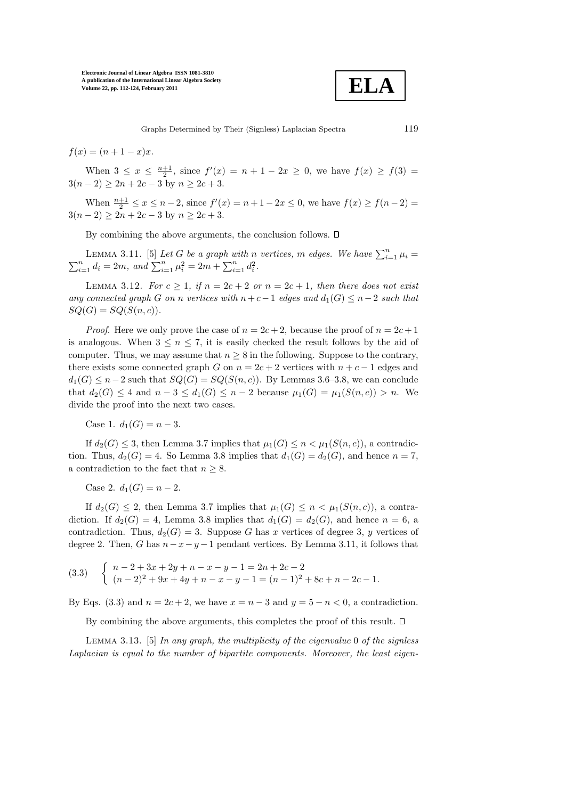**ELA**

Graphs Determined by Their (Signless) Laplacian Spectra 119

 $f(x) = (n + 1 - x)x$ .

When  $3 \le x \le \frac{n+1}{2}$ , since  $f'(x) = n+1-2x \ge 0$ , we have  $f(x) \ge f(3) =$  $3(n-2) \ge 2n + 2c - 3$  by  $n \ge 2c + 3$ .

When  $\frac{n+1}{2} \le x \le n-2$ , since  $f'(x) = n+1-2x \le 0$ , we have  $f(x) \ge f(n-2) =$  $3(n-2) \ge 2n + 2c - 3$  by  $n \ge 2c + 3$ .

By combining the above arguments, the conclusion follows.  $\square$ 

LEMMA 3.11. [5] Let G be a graph with n vertices, m edges. We have  $\sum_{i=1}^{n} \mu_i = \sum_{i=1}^{n} d_i = 2m$ , and  $\sum_{i=1}^{n} \mu_i^2 = 2m + \sum_{i=1}^{n} d_i^2$ .  $\sum_{i=1}^{n} d_i = 2m$ , and  $\sum_{i=1}^{n} \mu_i^2 = 2m + \sum_{i=1}^{n} d_i^2$ .

LEMMA 3.12. For  $c \geq 1$ , if  $n = 2c + 2$  or  $n = 2c + 1$ , then there does not exist any connected graph G on n vertices with  $n+c-1$  edges and  $d_1(G) \leq n-2$  such that  $SQ(G) = SQ(S(n, c)).$ 

*Proof.* Here we only prove the case of  $n = 2c + 2$ , because the proof of  $n = 2c + 1$ is analogous. When  $3 \leq n \leq 7$ , it is easily checked the result follows by the aid of computer. Thus, we may assume that  $n \geq 8$  in the following. Suppose to the contrary, there exists some connected graph G on  $n = 2c + 2$  vertices with  $n + c - 1$  edges and  $d_1(G) \leq n-2$  such that  $SQ(G) = SQ(S(n, c))$ . By Lemmas 3.6–3.8, we can conclude that  $d_2(G) \leq 4$  and  $n-3 \leq d_1(G) \leq n-2$  because  $\mu_1(G) = \mu_1(S(n, c)) > n$ . We divide the proof into the next two cases.

Case 1.  $d_1(G) = n - 3$ .

If  $d_2(G) \leq 3$ , then Lemma 3.7 implies that  $\mu_1(G) \leq n < \mu_1(S(n, c))$ , a contradiction. Thus,  $d_2(G) = 4$ . So Lemma 3.8 implies that  $d_1(G) = d_2(G)$ , and hence  $n = 7$ , a contradiction to the fact that  $n \geq 8$ .

Case 2.  $d_1(G) = n - 2$ .

If  $d_2(G) \leq 2$ , then Lemma 3.7 implies that  $\mu_1(G) \leq n < \mu_1(S(n, c))$ , a contradiction. If  $d_2(G) = 4$ , Lemma 3.8 implies that  $d_1(G) = d_2(G)$ , and hence  $n = 6$ , a contradiction. Thus,  $d_2(G) = 3$ . Suppose G has x vertices of degree 3, y vertices of degree 2. Then, G has  $n-x-y-1$  pendant vertices. By Lemma 3.11, it follows that

$$
(3.3) \quad\n\begin{cases}\n n-2+3x+2y+n-x-y-1=2n+2c-2 \\
(n-2)^2+9x+4y+n-x-y-1=(n-1)^2+8c+n-2c-1.\n\end{cases}
$$

By Eqs. (3.3) and  $n = 2c + 2$ , we have  $x = n - 3$  and  $y = 5 - n < 0$ , a contradiction.

By combining the above arguments, this completes the proof of this result.  $\square$ 

LEMMA 3.13. [5] In any graph, the multiplicity of the eigenvalue 0 of the signless Laplacian is equal to the number of bipartite components. Moreover, the least eigen-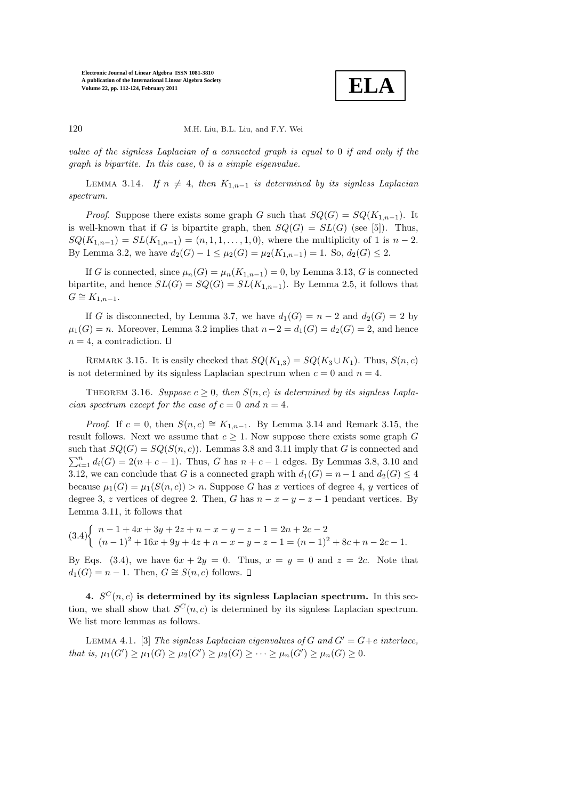**ELA**

#### 120 M.H. Liu, B.L. Liu, and F.Y. Wei

value of the signless Laplacian of a connected graph is equal to 0 if and only if the graph is bipartite. In this case, 0 is a simple eigenvalue.

LEMMA 3.14. If  $n \neq 4$ , then  $K_{1,n-1}$  is determined by its signless Laplacian spectrum.

*Proof.* Suppose there exists some graph G such that  $SQ(G) = SQ(K_{1,n-1})$ . It is well-known that if G is bipartite graph, then  $SQ(G) = SL(G)$  (see [5]). Thus,  $SQ(K_{1,n-1}) = SL(K_{1,n-1}) = (n, 1, 1, \ldots, 1, 0)$ , where the multiplicity of 1 is  $n-2$ . By Lemma 3.2, we have  $d_2(G) - 1 \leq \mu_2(G) = \mu_2(K_{1,n-1}) = 1$ . So,  $d_2(G) \leq 2$ .

If G is connected, since  $\mu_n(G) = \mu_n(K_{1,n-1}) = 0$ , by Lemma 3.13, G is connected bipartite, and hence  $SL(G) = SQ(G) = SL(K_{1,n-1})$ . By Lemma 2.5, it follows that  $G \cong K_{1,n-1}$ .

If G is disconnected, by Lemma 3.7, we have  $d_1(G) = n - 2$  and  $d_2(G) = 2$  by  $\mu_1(G) = n$ . Moreover, Lemma 3.2 implies that  $n-2 = d_1(G) = d_2(G) = 2$ , and hence  $n = 4$ , a contradiction.  $\Box$ 

REMARK 3.15. It is easily checked that  $SQ(K_{1,3}) = SQ(K_3 \cup K_1)$ . Thus,  $S(n, c)$ is not determined by its signless Laplacian spectrum when  $c = 0$  and  $n = 4$ .

THEOREM 3.16. Suppose  $c \geq 0$ , then  $S(n, c)$  is determined by its signless Laplacian spectrum except for the case of  $c = 0$  and  $n = 4$ .

*Proof.* If  $c = 0$ , then  $S(n, c) \cong K_{1,n-1}$ . By Lemma 3.14 and Remark 3.15, the result follows. Next we assume that  $c \geq 1$ . Now suppose there exists some graph G such that  $SQ(G) = SQ(S(n, c))$ . Lemmas 3.8 and 3.11 imply that G is connected and  $\sum_{i=1}^{n} d_i(G) = 2(n + c - 1)$ . Thus, G has  $n + c - 1$  edges. By Lemmas 3.8, 3.10 and 3.12, we can conclude that G is a connected graph with  $d_1(G) = n - 1$  and  $d_2(G) \leq 4$ because  $\mu_1(G) = \mu_1(S(n, c)) > n$ . Suppose G has x vertices of degree 4, y vertices of degree 3, z vertices of degree 2. Then, G has  $n - x - y - z - 1$  pendant vertices. By Lemma 3.11, it follows that

$$
(3.4)\begin{cases}\n n-1+4x+3y+2z+n-x-y-z-1=2n+2c-2 \\
(n-1)^2+16x+9y+4z+n-x-y-z-1=(n-1)^2+8c+n-2c-1.\n\end{cases}
$$

By Eqs. (3.4), we have  $6x + 2y = 0$ . Thus,  $x = y = 0$  and  $z = 2c$ . Note that  $d_1(G) = n - 1$ . Then,  $G \cong S(n, c)$  follows.  $\square$ 

4.  $S^{C}(n, c)$  is determined by its signless Laplacian spectrum. In this section, we shall show that  $S^{C}(n, c)$  is determined by its signless Laplacian spectrum. We list more lemmas as follows.

LEMMA 4.1. [3] The signless Laplacian eigenvalues of G and  $G' = G + e$  interlace, that is,  $\mu_1(G') \ge \mu_1(G) \ge \mu_2(G') \ge \mu_2(G) \ge \cdots \ge \mu_n(G') \ge \mu_n(G) \ge 0.$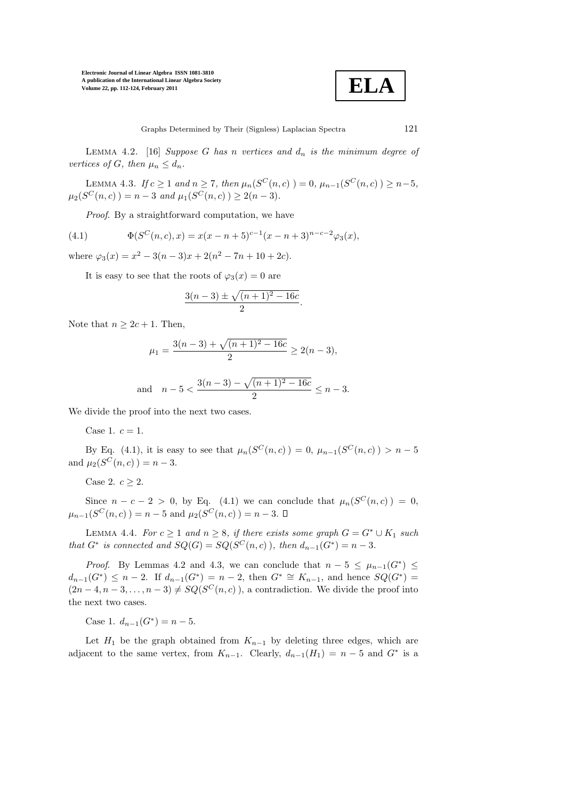

LEMMA 4.2. [16] Suppose G has n vertices and  $d_n$  is the minimum degree of vertices of G, then  $\mu_n \leq d_n$ .

LEMMA 4.3. If  $c \ge 1$  and  $n \ge 7$ , then  $\mu_n(S^C(n,c)) = 0$ ,  $\mu_{n-1}(S^C(n,c)) \ge n-5$ ,  $\mu_2(S^C(n, c)) = n - 3$  and  $\mu_1(S^C(n, c)) \geq 2(n - 3)$ .

Proof. By a straightforward computation, we have

(4.1) 
$$
\Phi(S^C(n,c),x) = x(x-n+5)^{c-1}(x-n+3)^{n-c-2}\varphi_3(x),
$$

where  $\varphi_3(x) = x^2 - 3(n-3)x + 2(n^2 - 7n + 10 + 2c)$ .

It is easy to see that the roots of  $\varphi_3(x) = 0$  are

$$
\frac{3(n-3) \pm \sqrt{(n+1)^2 - 16c}}{2}.
$$

Note that  $n \geq 2c + 1$ . Then,

$$
\mu_1 = \frac{3(n-3) + \sqrt{(n+1)^2 - 16c}}{2} \ge 2(n-3),
$$

and 
$$
n-5 < \frac{3(n-3) - \sqrt{(n+1)^2 - 16c}}{2} \le n-3
$$
.

We divide the proof into the next two cases.

Case 1.  $c = 1$ .

By Eq. (4.1), it is easy to see that  $\mu_n(S^C(n,c)) = 0$ ,  $\mu_{n-1}(S^C(n,c)) > n-5$ and  $\mu_2(S^C(n, c)) = n - 3$ .

Case 2.  $c \geq 2$ .

Since  $n - c - 2 > 0$ , by Eq. (4.1) we can conclude that  $\mu_n(S^C(n,c)) = 0$ ,  $\mu_{n-1}(S^C(n,c)) = n-5$  and  $\mu_2(S^C(n,c)) = n-3$ .

LEMMA 4.4. For  $c \ge 1$  and  $n \ge 8$ , if there exists some graph  $G = G^* \cup K_1$  such that  $G^*$  is connected and  $SQ(G) = SQ(S^C(n, c))$ , then  $d_{n-1}(G^*) = n-3$ .

*Proof.* By Lemmas 4.2 and 4.3, we can conclude that  $n-5 \leq \mu_{n-1}(G^*) \leq$  $d_{n-1}(G^*) \leq n-2$ . If  $d_{n-1}(G^*) = n-2$ , then  $G^* \cong K_{n-1}$ , and hence  $SQ(G^*) =$  $(2n-4, n-3, \ldots, n-3) \neq SQ(S^C(n, c))$ , a contradiction. We divide the proof into the next two cases.

Case 1.  $d_{n-1}(G^*) = n - 5$ .

Let  $H_1$  be the graph obtained from  $K_{n-1}$  by deleting three edges, which are adjacent to the same vertex, from  $K_{n-1}$ . Clearly,  $d_{n-1}(H_1) = n-5$  and  $G^*$  is a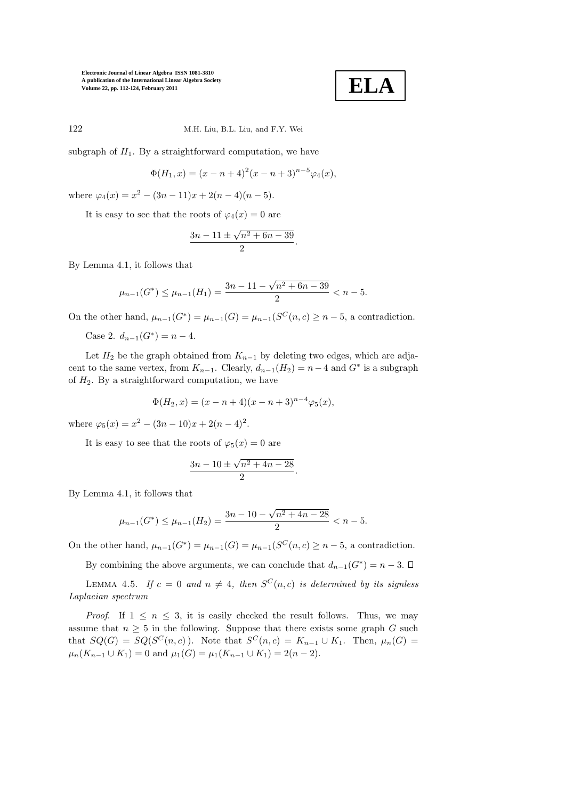

122 M.H. Liu, B.L. Liu, and F.Y. Wei

subgraph of  $H_1$ . By a straightforward computation, we have

$$
\Phi(H_1, x) = (x - n + 4)^2 (x - n + 3)^{n-5} \varphi_4(x),
$$

where  $\varphi_4(x) = x^2 - (3n - 11)x + 2(n - 4)(n - 5)$ .

It is easy to see that the roots of  $\varphi_4(x) = 0$  are

$$
\frac{3n - 11 \pm \sqrt{n^2 + 6n - 39}}{2}.
$$

By Lemma 4.1, it follows that

$$
\mu_{n-1}(G^*) \le \mu_{n-1}(H_1) = \frac{3n - 11 - \sqrt{n^2 + 6n - 39}}{2} < n - 5.
$$

On the other hand,  $\mu_{n-1}(G^*) = \mu_{n-1}(G) = \mu_{n-1}(S^C(n, c) \ge n-5$ , a contradiction.

Case 2.  $d_{n-1}(G^*) = n-4$ .

Let  $H_2$  be the graph obtained from  $K_{n-1}$  by deleting two edges, which are adjacent to the same vertex, from  $K_{n-1}$ . Clearly,  $d_{n-1}(H_2) = n-4$  and  $G^*$  is a subgraph of  $H_2$ . By a straightforward computation, we have

$$
\Phi(H_2, x) = (x - n + 4)(x - n + 3)^{n-4}\varphi_5(x),
$$

where  $\varphi_5(x) = x^2 - (3n - 10)x + 2(n - 4)^2$ .

It is easy to see that the roots of  $\varphi_5(x) = 0$  are

$$
\frac{3n - 10 \pm \sqrt{n^2 + 4n - 28}}{2}.
$$

By Lemma 4.1, it follows that

$$
\mu_{n-1}(G^*) \le \mu_{n-1}(H_2) = \frac{3n-10-\sqrt{n^2+4n-28}}{2} < n-5.
$$

On the other hand,  $\mu_{n-1}(G^*) = \mu_{n-1}(G) = \mu_{n-1}(S^C(n, c) \ge n-5$ , a contradiction.

By combining the above arguments, we can conclude that  $d_{n-1}(G^*) = n-3$ .

LEMMA 4.5. If  $c = 0$  and  $n \neq 4$ , then  $S^{C}(n, c)$  is determined by its signless Laplacian spectrum

*Proof.* If  $1 \leq n \leq 3$ , it is easily checked the result follows. Thus, we may assume that  $n > 5$  in the following. Suppose that there exists some graph G such that  $SQ(G) = SQ(S^C(n, c))$ . Note that  $S^C(n, c) = K_{n-1} \cup K_1$ . Then,  $\mu_n(G) =$  $\mu_n(K_{n-1} \cup K_1) = 0$  and  $\mu_1(G) = \mu_1(K_{n-1} \cup K_1) = 2(n-2)$ .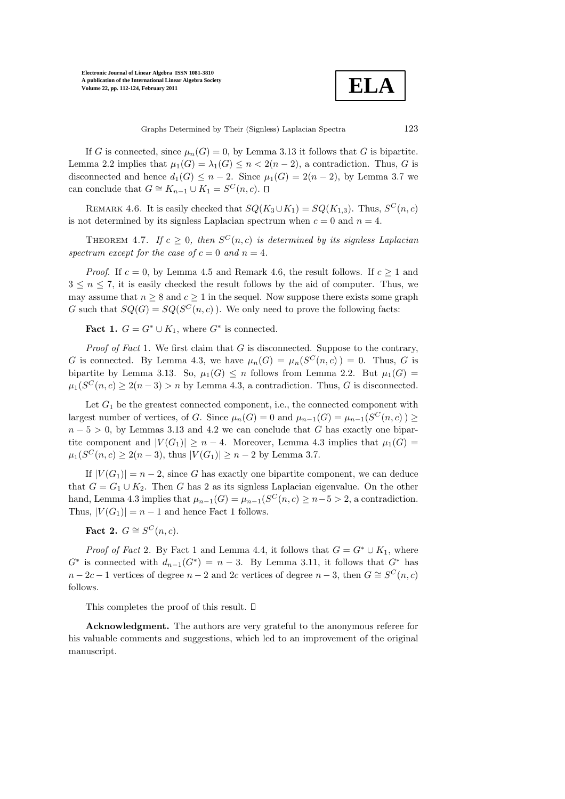

If G is connected, since  $\mu_n(G) = 0$ , by Lemma 3.13 it follows that G is bipartite. Lemma 2.2 implies that  $\mu_1(G) = \lambda_1(G) \leq n < 2(n-2)$ , a contradiction. Thus, G is disconnected and hence  $d_1(G) \leq n-2$ . Since  $\mu_1(G) = 2(n-2)$ , by Lemma 3.7 we can conclude that  $G \cong K_{n-1} \cup K_1 = S^C(n, c)$ .

REMARK 4.6. It is easily checked that  $SQ(K_3 \cup K_1) = SQ(K_{1,3})$ . Thus,  $S^C(n, c)$ is not determined by its signless Laplacian spectrum when  $c = 0$  and  $n = 4$ .

THEOREM 4.7. If  $c \geq 0$ , then  $S^{C}(n, c)$  is determined by its signless Laplacian spectrum except for the case of  $c = 0$  and  $n = 4$ .

*Proof.* If  $c = 0$ , by Lemma 4.5 and Remark 4.6, the result follows. If  $c \ge 1$  and  $3 \leq n \leq 7$ , it is easily checked the result follows by the aid of computer. Thus, we may assume that  $n \geq 8$  and  $c \geq 1$  in the sequel. Now suppose there exists some graph G such that  $SQ(G) = SQ(S^C(n, c))$ . We only need to prove the following facts:

**Fact 1.**  $G = G^* \cup K_1$ , where  $G^*$  is connected.

*Proof of Fact 1.* We first claim that  $G$  is disconnected. Suppose to the contrary, G is connected. By Lemma 4.3, we have  $\mu_n(G) = \mu_n(S^C(n, c)) = 0$ . Thus, G is bipartite by Lemma 3.13. So,  $\mu_1(G) \leq n$  follows from Lemma 2.2. But  $\mu_1(G)$  $\mu_1(S^C(n, c) \geq 2(n-3) > n$  by Lemma 4.3, a contradiction. Thus, G is disconnected.

Let  $G_1$  be the greatest connected component, i.e., the connected component with largest number of vertices, of G. Since  $\mu_n(G) = 0$  and  $\mu_{n-1}(G) = \mu_{n-1}(S^C(n, c)) \ge$  $n-5 > 0$ , by Lemmas 3.13 and 4.2 we can conclude that G has exactly one bipartite component and  $|V(G_1)| \geq n-4$ . Moreover, Lemma 4.3 implies that  $\mu_1(G)$  =  $\mu_1(S^C(n, c) \geq 2(n-3)$ , thus  $|V(G_1)| \geq n-2$  by Lemma 3.7.

If  $|V(G_1)| = n-2$ , since G has exactly one bipartite component, we can deduce that  $G = G_1 \cup K_2$ . Then G has 2 as its signless Laplacian eigenvalue. On the other hand, Lemma 4.3 implies that  $\mu_{n-1}(G) = \mu_{n-1}(S^C(n, c) \ge n-5 > 2$ , a contradiction. Thus,  $|V(G_1)| = n - 1$  and hence Fact 1 follows.

# Fact 2.  $G \cong S^C(n,c)$ .

*Proof of Fact 2.* By Fact 1 and Lemma 4.4, it follows that  $G = G^* \cup K_1$ , where  $G^*$  is connected with  $d_{n-1}(G^*) = n-3$ . By Lemma 3.11, it follows that  $G^*$  has  $n - 2c - 1$  vertices of degree  $n - 2$  and 2c vertices of degree  $n - 3$ , then  $G \cong S^C(n, c)$ follows.

This completes the proof of this result.  $\square$ 

Acknowledgment. The authors are very grateful to the anonymous referee for his valuable comments and suggestions, which led to an improvement of the original manuscript.